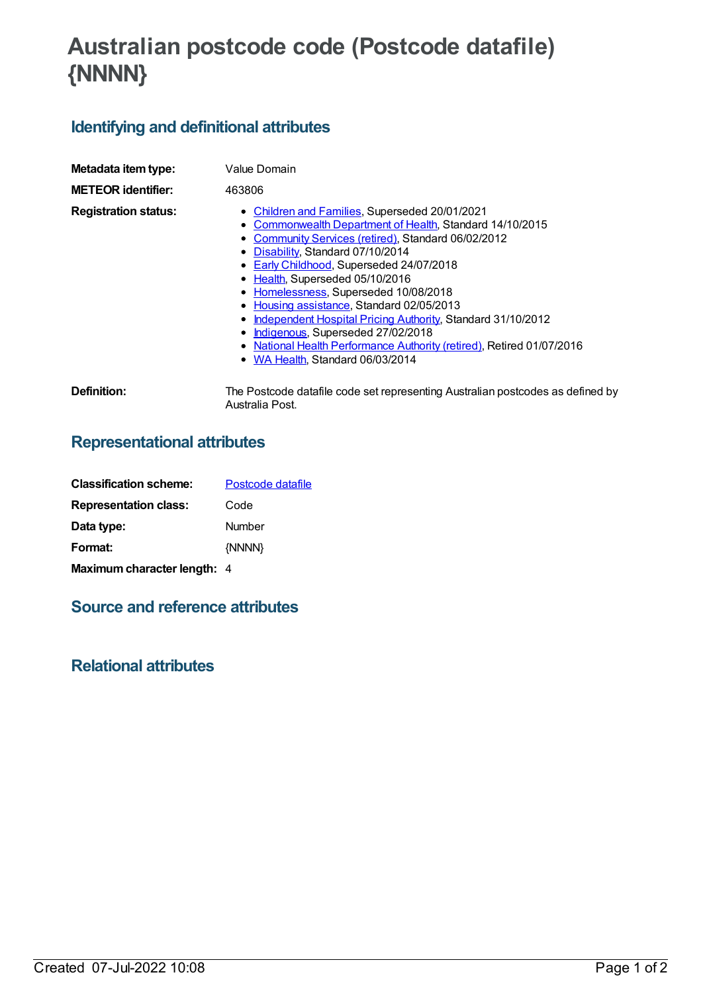# **Australian postcode code (Postcode datafile) {NNNN}**

## **Identifying and definitional attributes**

| Metadata item type:<br><b>METEOR identifier:</b> | Value Domain<br>463806                                                                                                                                                                                                                                                                                                                                                                                                                                                                                                                                                                         |
|--------------------------------------------------|------------------------------------------------------------------------------------------------------------------------------------------------------------------------------------------------------------------------------------------------------------------------------------------------------------------------------------------------------------------------------------------------------------------------------------------------------------------------------------------------------------------------------------------------------------------------------------------------|
| <b>Registration status:</b>                      | • Children and Families, Superseded 20/01/2021<br>• Commonwealth Department of Health, Standard 14/10/2015<br>• Community Services (retired), Standard 06/02/2012<br>• Disability, Standard 07/10/2014<br>• Early Childhood, Superseded 24/07/2018<br>• Health, Superseded 05/10/2016<br>• Homelessness, Superseded 10/08/2018<br>• Housing assistance, Standard 02/05/2013<br>Independent Hospital Pricing Authority, Standard 31/10/2012<br>• Indigenous, Superseded 27/02/2018<br>• National Health Performance Authority (retired), Retired 01/07/2016<br>• WA Health, Standard 06/03/2014 |
| Definition:                                      | The Postcode datafile code set representing Australian postcodes as defined by<br>Australia Post.                                                                                                                                                                                                                                                                                                                                                                                                                                                                                              |

## **Representational attributes**

| <b>Classification scheme:</b> | Postcode datafile |  |  |  |
|-------------------------------|-------------------|--|--|--|
| <b>Representation class:</b>  | Code              |  |  |  |
| Data type:                    | Number            |  |  |  |
| Format:                       | {NNNN}            |  |  |  |
| Maximum character length: 4   |                   |  |  |  |

#### **Source and reference attributes**

#### **Relational attributes**